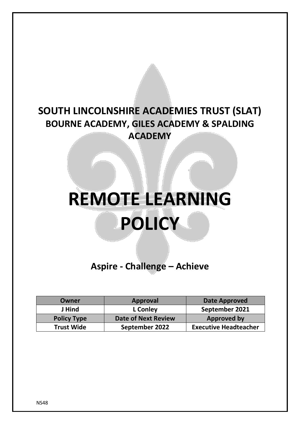# **SOUTH LINCOLNSHIRE ACADEMIES TRUST (SLAT) BOURNE ACADEMY, GILES ACADEMY & SPALDING ACADEMY**

# **REMOTE LEARNING POLICY**

**Aspire - Challenge – Achieve**

| Owner              | Approval                   | <b>Date Approved</b>         |
|--------------------|----------------------------|------------------------------|
| J Hind             | <b>L</b> Conley            | September 2021               |
| <b>Policy Type</b> | <b>Date of Next Review</b> | <b>Approved by</b>           |
| <b>Trust Wide</b>  | September 2022             | <b>Executive Headteacher</b> |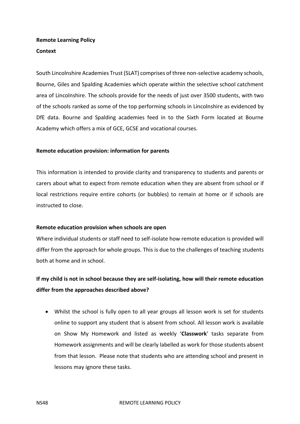### **Remote Learning Policy Context**

South Lincolnshire Academies Trust (SLAT) comprises of three non-selective academy schools, Bourne, Giles and Spalding Academies which operate within the selective school catchment area of Lincolnshire. The schools provide for the needs of just over 3500 students, with two of the schools ranked as some of the top performing schools in Lincolnshire as evidenced by DfE data. Bourne and Spalding academies feed in to the Sixth Form located at Bourne Academy which offers a mix of GCE, GCSE and vocational courses.

#### **Remote education provision: information for parents**

This information is intended to provide clarity and transparency to students and parents or carers about what to expect from remote education when they are absent from school or if local restrictions require entire cohorts (or bubbles) to remain at home or if schools are instructed to close.

#### **Remote education provision when schools are open**

Where individual students or staff need to self-isolate how remote education is provided will differ from the approach for whole groups. This is due to the challenges of teaching students both at home and in school.

# **If my child is not in school because they are self-isolating, how will their remote education differ from the approaches described above?**

 Whilst the school is fully open to all year groups all lesson work is set for students online to support any student that is absent from school. All lesson work is available on Show My Homework and listed as weekly '**Classwork**' tasks separate from Homework assignments and will be clearly labelled as work for those students absent from that lesson. Please note that students who are attending school and present in lessons may ignore these tasks.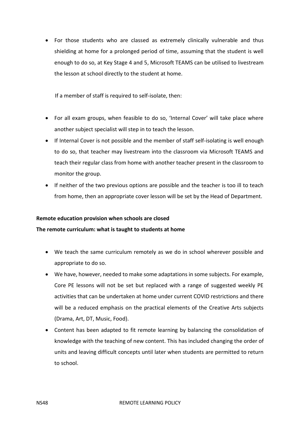For those students who are classed as extremely clinically vulnerable and thus shielding at home for a prolonged period of time, assuming that the student is well enough to do so, at Key Stage 4 and 5, Microsoft TEAMS can be utilised to livestream the lesson at school directly to the student at home.

If a member of staff is required to self-isolate, then:

- For all exam groups, when feasible to do so, 'Internal Cover' will take place where another subject specialist will step in to teach the lesson.
- If Internal Cover is not possible and the member of staff self-isolating is well enough to do so, that teacher may livestream into the classroom via Microsoft TEAMS and teach their regular class from home with another teacher present in the classroom to monitor the group.
- If neither of the two previous options are possible and the teacher is too ill to teach from home, then an appropriate cover lesson will be set by the Head of Department.

#### **Remote education provision when schools are closed**

#### **The remote curriculum: what is taught to students at home**

- We teach the same curriculum remotely as we do in school wherever possible and appropriate to do so.
- We have, however, needed to make some adaptations in some subjects. For example, Core PE lessons will not be set but replaced with a range of suggested weekly PE activities that can be undertaken at home under current COVID restrictions and there will be a reduced emphasis on the practical elements of the Creative Arts subjects (Drama, Art, DT, Music, Food).
- Content has been adapted to fit remote learning by balancing the consolidation of knowledge with the teaching of new content. This has included changing the order of units and leaving difficult concepts until later when students are permitted to return to school.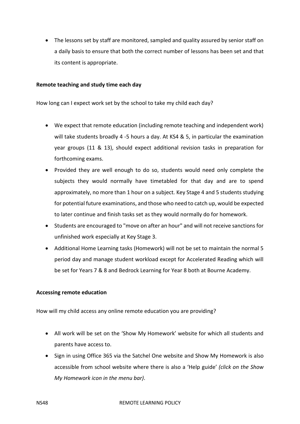The lessons set by staff are monitored, sampled and quality assured by senior staff on a daily basis to ensure that both the correct number of lessons has been set and that its content is appropriate.

#### **Remote teaching and study time each day**

How long can I expect work set by the school to take my child each day?

- We expect that remote education (including remote teaching and independent work) will take students broadly 4 -5 hours a day. At KS4 & 5, in particular the examination year groups (11 & 13), should expect additional revision tasks in preparation for forthcoming exams.
- Provided they are well enough to do so, students would need only complete the subjects they would normally have timetabled for that day and are to spend approximately, no more than 1 hour on a subject*.* Key Stage 4 and 5 students studying for potential future examinations, and those who need to catch up, would be expected to later continue and finish tasks set as they would normally do for homework.
- Students are encouraged to "move on after an hour" and will not receive sanctions for unfinished work especially at Key Stage 3.
- Additional Home Learning tasks (Homework) will not be set to maintain the normal 5 period day and manage student workload except for Accelerated Reading which will be set for Years 7 & 8 and Bedrock Learning for Year 8 both at Bourne Academy.

#### **Accessing remote education**

How will my child access any online remote education you are providing?

- All work will be set on the 'Show My Homework' website for which all students and parents have access to.
- Sign in using Office 365 via the Satchel One website and Show My Homework is also accessible from school website where there is also a 'Help guide' *(click on the Show My Homework icon in the menu bar)*.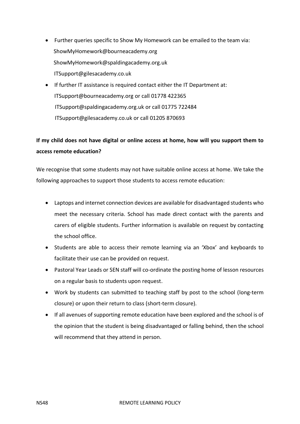- Further queries specific to Show My Homework can be emailed to the team via: [ShowMyHomework@bourneacademy.org](mailto:ShowMyHomework@bourneacademy.org)  [ShowMyHomework@spaldingacademy.org.uk](mailto:ShowMyHomework@spaldingacademy.org.uk) [ITSupport@gilesacademy.co.uk](mailto:ITSupport@gilesacademy.co.uk)
- If further IT assistance is required contact either the IT Department at: [ITSupport@bourneacademy.org](mailto:ITSupport@bourneacademy.org) or call 01778 422365 [ITSupport@spaldingacademy.org.](mailto:ITSupport@spaldingacademy.org)uk or call 01775 722484 [ITSupport@gilesacademy.c](mailto:ITSupport@gilesacademy.)o.uk or call 01205 870693

## **If my child does not have digital or online access at home, how will you support them to access remote education?**

We recognise that some students may not have suitable online access at home. We take the following approaches to support those students to access remote education:

- Laptops and internet connection devices are available for disadvantaged students who meet the necessary criteria. School has made direct contact with the parents and carers of eligible students. Further information is available on request by contacting the school office.
- Students are able to access their remote learning via an 'Xbox' and keyboards to facilitate their use can be provided on request.
- Pastoral Year Leads or SEN staff will co-ordinate the posting home of lesson resources on a regular basis to students upon request.
- Work by students can submitted to teaching staff by post to the school (long-term closure) or upon their return to class (short-term closure).
- If all avenues of supporting remote education have been explored and the school is of the opinion that the student is being disadvantaged or falling behind, then the school will recommend that they attend in person.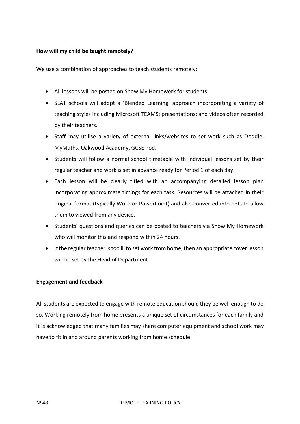#### **How will my child be taught remotely?**

We use a combination of approaches to teach students remotely:

- All lessons will be posted on Show My Homework for students.
- SLAT schools will adopt a 'Blended Learning' approach incorporating a variety of teaching styles including Microsoft TEAMS; presentations; and videos often recorded by their teachers.
- Staff may utilise a variety of external links/websites to set work such as Doddle, MyMaths. Oakwood Academy, GCSE Pod.
- Students will follow a normal school timetable with individual lessons set by their regular teacher and work is set in advance ready for Period 1 of each day.
- Each lesson will be clearly titled with an accompanying detailed lesson plan incorporating approximate timings for each task. Resources will be attached in their original format (typically Word or PowerPoint) and also converted into pdfs to allow them to viewed from any device.
- Students' questions and queries can be posted to teachers via Show My Homework who will monitor this and respond within 24 hours.
- If the regular teacher is too ill to set work from home, then an appropriate cover lesson will be set by the Head of Department.

#### **Engagement and feedback**

All students are expected to engage with remote education should they be well enough to do so. Working remotely from home presents a unique set of circumstances for each family and it is acknowledged that many families may share computer equipment and school work may have to fit in and around parents working from home schedule.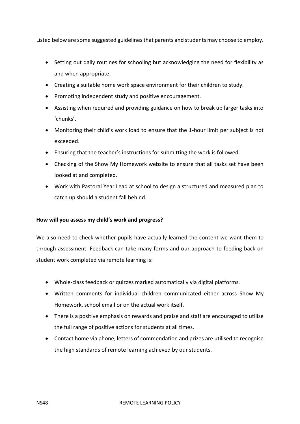Listed below are some suggested guidelines that parents and students may choose to employ.

- Setting out daily routines for schooling but acknowledging the need for flexibility as and when appropriate.
- Creating a suitable home work space environment for their children to study.
- Promoting independent study and positive encouragement.
- Assisting when required and providing guidance on how to break up larger tasks into 'chunks'.
- Monitoring their child's work load to ensure that the 1-hour limit per subject is not exceeded.
- Ensuring that the teacher's instructions for submitting the work is followed.
- Checking of the Show My Homework website to ensure that all tasks set have been looked at and completed.
- Work with Pastoral Year Lead at school to design a structured and measured plan to catch up should a student fall behind.

#### **How will you assess my child's work and progress?**

We also need to check whether pupils have actually learned the content we want them to through assessment. Feedback can take many forms and our approach to feeding back on student work completed via remote learning is:

- Whole-class feedback or quizzes marked automatically via digital platforms.
- Written comments for individual children communicated either across Show My Homework, school email or on the actual work itself.
- There is a positive emphasis on rewards and praise and staff are encouraged to utilise the full range of positive actions for students at all times.
- Contact home via phone, letters of commendation and prizes are utilised to recognise the high standards of remote learning achieved by our students.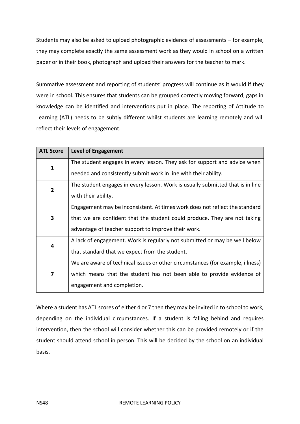Students may also be asked to upload photographic evidence of assessments – for example, they may complete exactly the same assessment work as they would in school on a written paper or in their book, photograph and upload their answers for the teacher to mark.

Summative assessment and reporting of students' progress will continue as it would if they were in school. This ensures that students can be grouped correctly moving forward, gaps in knowledge can be identified and interventions put in place. The reporting of Attitude to Learning (ATL) needs to be subtly different whilst students are learning remotely and will reflect their levels of engagement.

| <b>ATL Score</b> | <b>Level of Engagement</b>                                                     |
|------------------|--------------------------------------------------------------------------------|
| $\mathbf{1}$     | The student engages in every lesson. They ask for support and advice when      |
|                  | needed and consistently submit work in line with their ability.                |
| $\overline{2}$   | The student engages in every lesson. Work is usually submitted that is in line |
|                  | with their ability.                                                            |
| 3                | Engagement may be inconsistent. At times work does not reflect the standard    |
|                  | that we are confident that the student could produce. They are not taking      |
|                  | advantage of teacher support to improve their work.                            |
| 4                | A lack of engagement. Work is regularly not submitted or may be well below     |
|                  | that standard that we expect from the student.                                 |
| 7                | We are aware of technical issues or other circumstances (for example, illness) |
|                  | which means that the student has not been able to provide evidence of          |
|                  | engagement and completion.                                                     |

Where a student has ATL scores of either 4 or 7 then they may be invited in to school to work, depending on the individual circumstances. If a student is falling behind and requires intervention, then the school will consider whether this can be provided remotely or if the student should attend school in person. This will be decided by the school on an individual basis.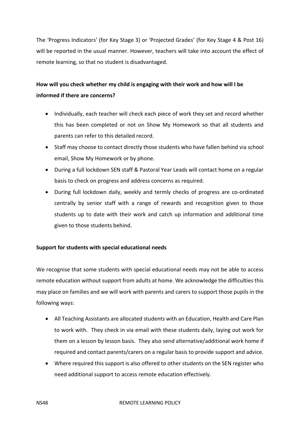The 'Progress Indicators' (for Key Stage 3) or 'Projected Grades' (for Key Stage 4 & Post 16) will be reported in the usual manner. However, teachers will take into account the effect of remote learning, so that no student is disadvantaged.

# **How will you check whether my child is engaging with their work and how will I be informed if there are concerns?**

- Individually, each teacher will check each piece of work they set and record whether this has been completed or not on Show My Homework so that all students and parents can refer to this detailed record.
- Staff may choose to contact directly those students who have fallen behind via school email, Show My Homework or by phone.
- During a full lockdown SEN staff & Pastoral Year Leads will contact home on a regular basis to check on progress and address concerns as required.
- During full lockdown daily, weekly and termly checks of progress are co-ordinated centrally by senior staff with a range of rewards and recognition given to those students up to date with their work and catch up information and additional time given to those students behind.

#### **Support for students with special educational needs**

We recognise that some students with special educational needs may not be able to access remote education without support from adults at home. We acknowledge the difficulties this may place on families and we will work with parents and carers to support those pupils in the following ways:

- All Teaching Assistants are allocated students with an Education, Health and Care Plan to work with. They check in via email with these students daily, laying out work for them on a lesson by lesson basis. They also send alternative/additional work home if required and contact parents/carers on a regular basis to provide support and advice.
- Where required this support is also offered to other students on the SEN register who need additional support to access remote education effectively.